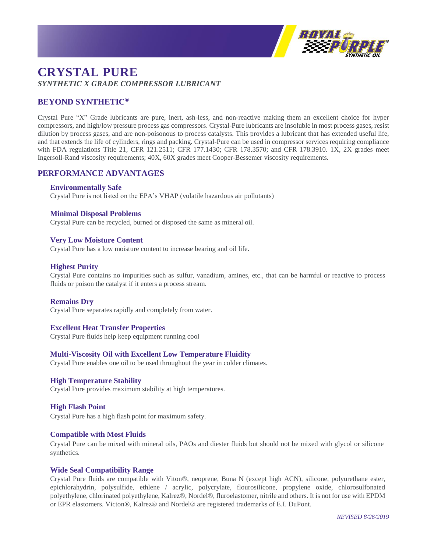

# **CRYSTAL PURE** *SYNTHETIC X GRADE COMPRESSOR LUBRICANT*

# **BEYOND SYNTHETIC®**

Crystal Pure "X" Grade lubricants are pure, inert, ash-less, and non-reactive making them an excellent choice for hyper compressors, and high/low pressure process gas compressors. Crystal-Pure lubricants are insoluble in most process gases, resist dilution by process gases, and are non-poisonous to process catalysts. This provides a lubricant that has extended useful life, and that extends the life of cylinders, rings and packing. Crystal-Pure can be used in compressor services requiring compliance with FDA regulations Title 21, CFR 121.2511; CFR 177.1430; CFR 178.3570; and CFR 178.3910. 1X, 2X grades meet Ingersoll-Rand viscosity requirements; 40X, 60X grades meet Cooper-Bessemer viscosity requirements.

# **PERFORMANCE ADVANTAGES**

# **Environmentally Safe**

Crystal Pure is not listed on the EPA's VHAP (volatile hazardous air pollutants)

# **Minimal Disposal Problems**

Crystal Pure can be recycled, burned or disposed the same as mineral oil.

#### **Very Low Moisture Content**

Crystal Pure has a low moisture content to increase bearing and oil life.

# **Highest Purity**

Crystal Pure contains no impurities such as sulfur, vanadium, amines, etc., that can be harmful or reactive to process fluids or poison the catalyst if it enters a process stream.

# **Remains Dry**

Crystal Pure separates rapidly and completely from water.

# **Excellent Heat Transfer Properties**

Crystal Pure fluids help keep equipment running cool

# **Multi-Viscosity Oil with Excellent Low Temperature Fluidity**

Crystal Pure enables one oil to be used throughout the year in colder climates.

#### **High Temperature Stability**

Crystal Pure provides maximum stability at high temperatures.

# **High Flash Point**

Crystal Pure has a high flash point for maximum safety.

#### **Compatible with Most Fluids**

Crystal Pure can be mixed with mineral oils, PAOs and diester fluids but should not be mixed with glycol or silicone synthetics.

#### **Wide Seal Compatibility Range**

Crystal Pure fluids are compatible with Viton®, neoprene, Buna N (except high ACN), silicone, polyurethane ester, epichlorahydrin, polysulfide, ethlene / acrylic, polycrylate, flourosilicone, propylene oxide, chlorosulfonated polyethylene, chlorinated polyethylene, Kalrez®, Nordel®, fluroelastomer, nitrile and others. It is not for use with EPDM or EPR elastomers. Victon®, Kalrez® and Nordel® are registered trademarks of E.I. DuPont.